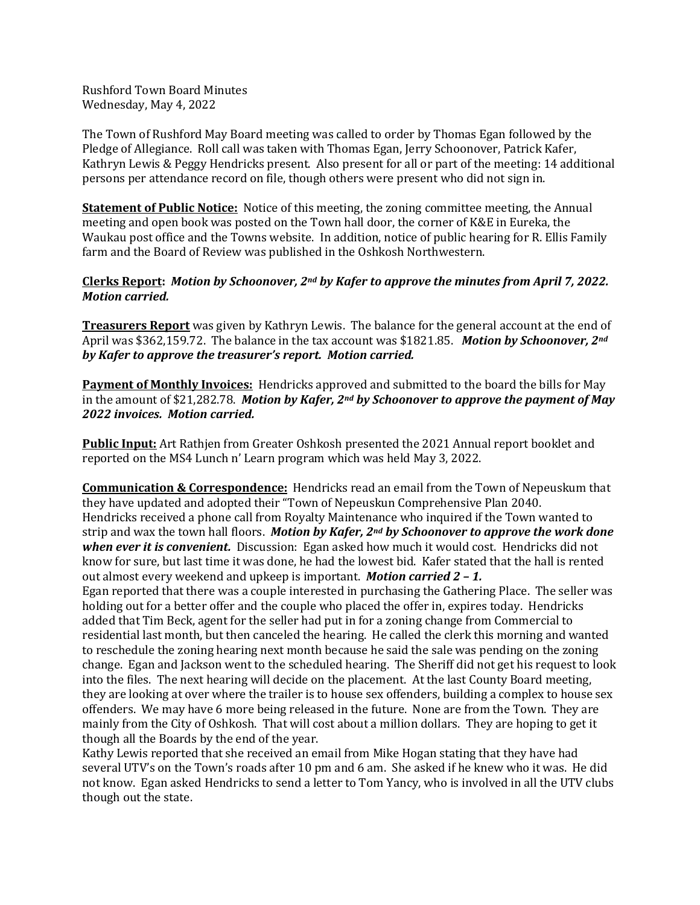Rushford Town Board Minutes Wednesday, May 4, 2022

The Town of Rushford May Board meeting was called to order by Thomas Egan followed by the Pledge of Allegiance. Roll call was taken with Thomas Egan, Jerry Schoonover, Patrick Kafer, Kathryn Lewis & Peggy Hendricks present. Also present for all or part of the meeting: 14 additional persons per attendance record on file, though others were present who did not sign in.

**Statement of Public Notice:** Notice of this meeting, the zoning committee meeting, the Annual meeting and open book was posted on the Town hall door, the corner of K&E in Eureka, the Waukau post office and the Towns website. In addition, notice of public hearing for R. Ellis Family farm and the Board of Review was published in the Oshkosh Northwestern.

# **Clerks Report:** *Motion by Schoonover, 2nd by Kafer to approve the minutes from April 7, 2022. Motion carried.*

**Treasurers Report** was given by Kathryn Lewis. The balance for the general account at the end of April was \$362,159.72. The balance in the tax account was \$1821.85. *Motion by Schoonover, 2nd by Kafer to approve the treasurer's report. Motion carried.* 

**Payment of Monthly Invoices:** Hendricks approved and submitted to the board the bills for May in the amount of \$21,282.78. *Motion by Kafer, 2nd by Schoonover to approve the payment of May 2022 invoices. Motion carried.*

**Public Input:** Art Rathjen from Greater Oshkosh presented the 2021 Annual report booklet and reported on the MS4 Lunch n' Learn program which was held May 3, 2022.

**Communication & Correspondence:** Hendricks read an email from the Town of Nepeuskum that they have updated and adopted their "Town of Nepeuskun Comprehensive Plan 2040. Hendricks received a phone call from Royalty Maintenance who inquired if the Town wanted to strip and wax the town hall floors. *Motion by Kafer, 2nd by Schoonover to approve the work done when ever it is convenient.* Discussion: Egan asked how much it would cost. Hendricks did not know for sure, but last time it was done, he had the lowest bid. Kafer stated that the hall is rented out almost every weekend and upkeep is important. *Motion carried 2 – 1.* 

Egan reported that there was a couple interested in purchasing the Gathering Place. The seller was holding out for a better offer and the couple who placed the offer in, expires today. Hendricks added that Tim Beck, agent for the seller had put in for a zoning change from Commercial to residential last month, but then canceled the hearing. He called the clerk this morning and wanted to reschedule the zoning hearing next month because he said the sale was pending on the zoning change. Egan and Jackson went to the scheduled hearing. The Sheriff did not get his request to look into the files. The next hearing will decide on the placement. At the last County Board meeting, they are looking at over where the trailer is to house sex offenders, building a complex to house sex offenders. We may have 6 more being released in the future. None are from the Town. They are mainly from the City of Oshkosh. That will cost about a million dollars. They are hoping to get it though all the Boards by the end of the year.

Kathy Lewis reported that she received an email from Mike Hogan stating that they have had several UTV's on the Town's roads after 10 pm and 6 am. She asked if he knew who it was. He did not know. Egan asked Hendricks to send a letter to Tom Yancy, who is involved in all the UTV clubs though out the state.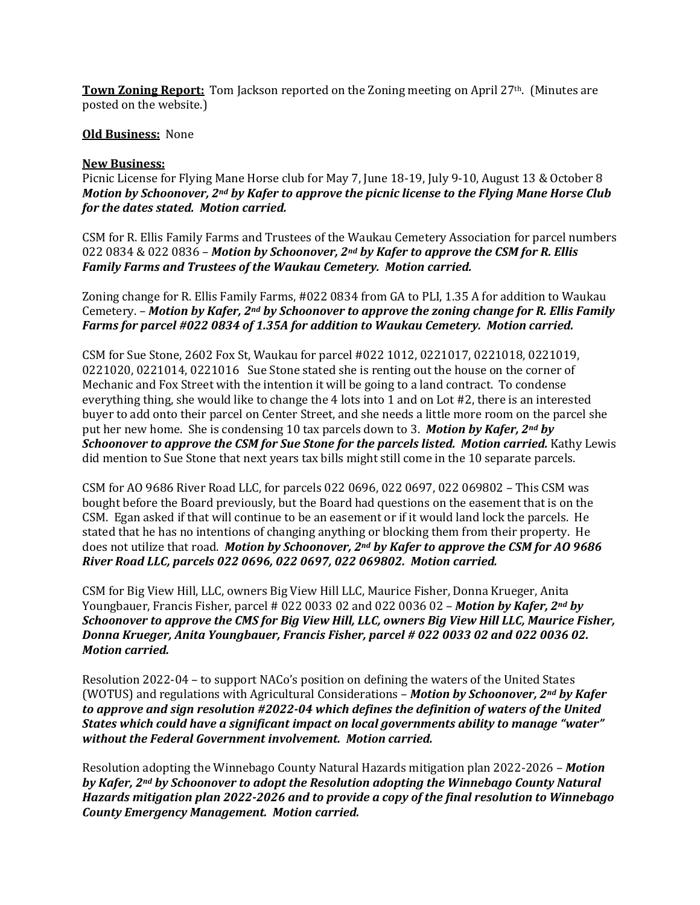**Town Zoning Report:** Tom Jackson reported on the Zoning meeting on April 27<sup>th</sup>. (Minutes are posted on the website.)

#### **Old Business:** None

#### **New Business:**

Picnic License for Flying Mane Horse club for May 7, June 18-19, July 9-10, August 13 & October 8 *Motion by Schoonover, 2nd by Kafer to approve the picnic license to the Flying Mane Horse Club for the dates stated. Motion carried.* 

CSM for R. Ellis Family Farms and Trustees of the Waukau Cemetery Association for parcel numbers 022 0834 & 022 0836 – *Motion by Schoonover, 2nd by Kafer to approve the CSM for R. Ellis Family Farms and Trustees of the Waukau Cemetery. Motion carried.*

Zoning change for R. Ellis Family Farms, #022 0834 from GA to PLI, 1.35 A for addition to Waukau Cemetery. – *Motion by Kafer, 2nd by Schoonover to approve the zoning change for R. Ellis Family Farms for parcel #022 0834 of 1.35A for addition to Waukau Cemetery. Motion carried.*

CSM for Sue Stone, 2602 Fox St, Waukau for parcel #022 1012, 0221017, 0221018, 0221019, 0221020, 0221014, 0221016 Sue Stone stated she is renting out the house on the corner of Mechanic and Fox Street with the intention it will be going to a land contract. To condense everything thing, she would like to change the 4 lots into 1 and on Lot #2, there is an interested buyer to add onto their parcel on Center Street, and she needs a little more room on the parcel she put her new home. She is condensing 10 tax parcels down to 3. *Motion by Kafer, 2nd by Schoonover to approve the CSM for Sue Stone for the parcels listed. Motion carried.* **Kathy Lewis** did mention to Sue Stone that next years tax bills might still come in the 10 separate parcels.

CSM for AO 9686 River Road LLC, for parcels 022 0696, 022 0697, 022 069802 – This CSM was bought before the Board previously, but the Board had questions on the easement that is on the CSM. Egan asked if that will continue to be an easement or if it would land lock the parcels. He stated that he has no intentions of changing anything or blocking them from their property. He does not utilize that road. *Motion by Schoonover, 2nd by Kafer to approve the CSM for AO 9686 River Road LLC, parcels 022 0696, 022 0697, 022 069802. Motion carried.* 

CSM for Big View Hill, LLC, owners Big View Hill LLC, Maurice Fisher, Donna Krueger, Anita Youngbauer, Francis Fisher, parcel # 022 0033 02 and 022 0036 02 – *Motion by Kafer, 2nd by Schoonover to approve the CMS for Big View Hill, LLC, owners Big View Hill LLC, Maurice Fisher, Donna Krueger, Anita Youngbauer, Francis Fisher, parcel # 022 0033 02 and 022 0036 02. Motion carried.*

Resolution 2022-04 – to support NACo's position on defining the waters of the United States (WOTUS) and regulations with Agricultural Considerations – *Motion by Schoonover, 2nd by Kafer to approve and sign resolution #2022-04 which defines the definition of waters of the United States which could have a significant impact on local governments ability to manage "water" without the Federal Government involvement. Motion carried.*

Resolution adopting the Winnebago County Natural Hazards mitigation plan 2022-2026 – *Motion by Kafer, 2nd by Schoonover to adopt the Resolution adopting the Winnebago County Natural Hazards mitigation plan 2022-2026 and to provide a copy of the final resolution to Winnebago County Emergency Management. Motion carried.*